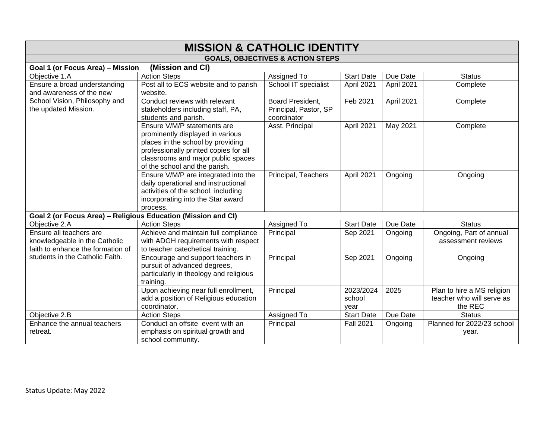| <b>MISSION &amp; CATHOLIC IDENTITY</b>                        |                                        |                                             |                   |            |                            |  |  |
|---------------------------------------------------------------|----------------------------------------|---------------------------------------------|-------------------|------------|----------------------------|--|--|
|                                                               |                                        | <b>GOALS, OBJECTIVES &amp; ACTION STEPS</b> |                   |            |                            |  |  |
| (Mission and CI)<br>Goal 1 (or Focus Area) - Mission          |                                        |                                             |                   |            |                            |  |  |
| Objective 1.A                                                 | <b>Action Steps</b>                    | Assigned To                                 | <b>Start Date</b> | Due Date   | <b>Status</b>              |  |  |
| Ensure a broad understanding                                  | Post all to ECS website and to parish  | School IT specialist                        | April 2021        | April 2021 | Complete                   |  |  |
| and awareness of the new                                      | website.                               |                                             |                   |            |                            |  |  |
| School Vision, Philosophy and                                 | Conduct reviews with relevant          | Board President,                            | Feb 2021          | April 2021 | Complete                   |  |  |
| the updated Mission.                                          | stakeholders including staff, PA,      | Principal, Pastor, SP                       |                   |            |                            |  |  |
|                                                               | students and parish.                   | coordinator                                 |                   |            |                            |  |  |
|                                                               | Ensure V/M/P statements are            | Asst. Principal                             | April 2021        | May 2021   | Complete                   |  |  |
|                                                               | prominently displayed in various       |                                             |                   |            |                            |  |  |
|                                                               | places in the school by providing      |                                             |                   |            |                            |  |  |
|                                                               | professionally printed copies for all  |                                             |                   |            |                            |  |  |
|                                                               | classrooms and major public spaces     |                                             |                   |            |                            |  |  |
|                                                               | of the school and the parish.          |                                             |                   |            |                            |  |  |
|                                                               | Ensure V/M/P are integrated into the   | Principal, Teachers                         | April 2021        | Ongoing    | Ongoing                    |  |  |
|                                                               | daily operational and instructional    |                                             |                   |            |                            |  |  |
|                                                               | activities of the school, including    |                                             |                   |            |                            |  |  |
|                                                               | incorporating into the Star award      |                                             |                   |            |                            |  |  |
| Goal 2 (or Focus Area) - Religious Education (Mission and CI) | process.                               |                                             |                   |            |                            |  |  |
| Objective 2.A                                                 | <b>Action Steps</b>                    | Assigned To                                 | <b>Start Date</b> | Due Date   | <b>Status</b>              |  |  |
| Ensure all teachers are                                       | Achieve and maintain full compliance   | Principal                                   | Sep 2021          | Ongoing    | Ongoing, Part of annual    |  |  |
| knowledgeable in the Catholic                                 | with ADGH requirements with respect    |                                             |                   |            | assessment reviews         |  |  |
| faith to enhance the formation of                             | to teacher catechetical training.      |                                             |                   |            |                            |  |  |
| students in the Catholic Faith.                               | Encourage and support teachers in      | Principal                                   | Sep 2021          | Ongoing    | Ongoing                    |  |  |
|                                                               | pursuit of advanced degrees,           |                                             |                   |            |                            |  |  |
|                                                               | particularly in theology and religious |                                             |                   |            |                            |  |  |
|                                                               | training.                              |                                             |                   |            |                            |  |  |
|                                                               | Upon achieving near full enrollment,   | Principal                                   | 2023/2024         | 2025       | Plan to hire a MS religion |  |  |
|                                                               | add a position of Religious education  |                                             | school            |            | teacher who will serve as  |  |  |
|                                                               | coordinator.                           |                                             | year              |            | the REC                    |  |  |
| Objective 2.B                                                 | <b>Action Steps</b>                    | Assigned To                                 | <b>Start Date</b> | Due Date   | <b>Status</b>              |  |  |
| Enhance the annual teachers                                   | Conduct an offsite event with an       | Principal                                   | <b>Fall 2021</b>  | Ongoing    | Planned for 2022/23 school |  |  |
| retreat.                                                      | emphasis on spiritual growth and       |                                             |                   |            | year.                      |  |  |
|                                                               | school community.                      |                                             |                   |            |                            |  |  |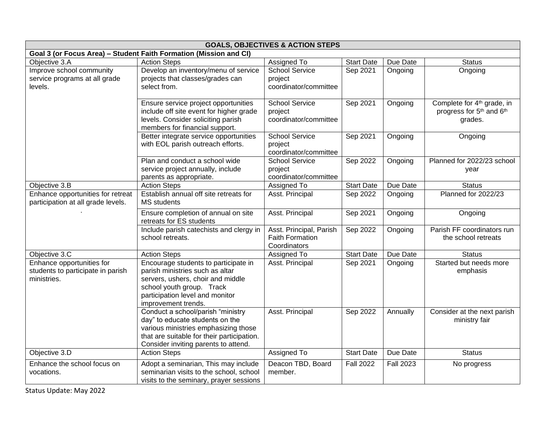|                                                                               | <b>GOALS, OBJECTIVES &amp; ACTION STEPS</b>                                                                                                                                                         |                                                                   |                   |                  |                                                                                                       |  |
|-------------------------------------------------------------------------------|-----------------------------------------------------------------------------------------------------------------------------------------------------------------------------------------------------|-------------------------------------------------------------------|-------------------|------------------|-------------------------------------------------------------------------------------------------------|--|
|                                                                               | Goal 3 (or Focus Area) - Student Faith Formation (Mission and CI)                                                                                                                                   |                                                                   |                   |                  |                                                                                                       |  |
| Objective 3.A                                                                 | <b>Action Steps</b>                                                                                                                                                                                 | Assigned To                                                       | <b>Start Date</b> | Due Date         | <b>Status</b>                                                                                         |  |
| Improve school community<br>service programs at all grade<br>levels.          | Develop an inventory/menu of service<br>projects that classes/grades can<br>select from.                                                                                                            | <b>School Service</b><br>project<br>coordinator/committee         | Sep 2021          | Ongoing          | Ongoing                                                                                               |  |
|                                                                               | Ensure service project opportunities<br>include off site event for higher grade<br>levels. Consider soliciting parish<br>members for financial support.                                             | <b>School Service</b><br>project<br>coordinator/committee         | Sep 2021          | Ongoing          | Complete for 4 <sup>th</sup> grade, in<br>progress for 5 <sup>th</sup> and 6 <sup>th</sup><br>grades. |  |
|                                                                               | Better integrate service opportunities<br>with EOL parish outreach efforts.                                                                                                                         | <b>School Service</b><br>project<br>coordinator/committee         | Sep 2021          | Ongoing          | Ongoing                                                                                               |  |
|                                                                               | Plan and conduct a school wide<br>service project annually, include<br>parents as appropriate.                                                                                                      | <b>School Service</b><br>project<br>coordinator/committee         | Sep 2022          | Ongoing          | Planned for 2022/23 school<br>year                                                                    |  |
| Objective 3.B                                                                 | <b>Action Steps</b>                                                                                                                                                                                 | Assigned To                                                       | <b>Start Date</b> | Due Date         | <b>Status</b>                                                                                         |  |
| Enhance opportunities for retreat<br>participation at all grade levels.       | Establish annual off site retreats for<br>MS students                                                                                                                                               | Asst. Principal                                                   | Sep 2022          | Ongoing          | Planned for 2022/23                                                                                   |  |
|                                                                               | Ensure completion of annual on site<br>retreats for ES students                                                                                                                                     | Asst. Principal                                                   | Sep 2021          | Ongoing          | Ongoing                                                                                               |  |
|                                                                               | Include parish catechists and clergy in<br>school retreats.                                                                                                                                         | Asst. Principal, Parish<br><b>Faith Formation</b><br>Coordinators | Sep 2022          | Ongoing          | Parish FF coordinators run<br>the school retreats                                                     |  |
| Objective 3.C                                                                 | <b>Action Steps</b>                                                                                                                                                                                 | Assigned To                                                       | <b>Start Date</b> | Due Date         | <b>Status</b>                                                                                         |  |
| Enhance opportunities for<br>students to participate in parish<br>ministries. | Encourage students to participate in<br>parish ministries such as altar<br>servers, ushers, choir and middle<br>school youth group. Track<br>participation level and monitor<br>improvement trends. | Asst. Principal                                                   | Sep 2021          | Ongoing          | Started but needs more<br>emphasis                                                                    |  |
|                                                                               | Conduct a school/parish "ministry<br>day" to educate students on the<br>various ministries emphasizing those<br>that are suitable for their participation.<br>Consider inviting parents to attend.  | Asst. Principal                                                   | Sep 2022          | Annually         | Consider at the next parish<br>ministry fair                                                          |  |
| Objective 3.D                                                                 | <b>Action Steps</b>                                                                                                                                                                                 | Assigned To                                                       | <b>Start Date</b> | Due Date         | <b>Status</b>                                                                                         |  |
| Enhance the school focus on<br>vocations.                                     | Adopt a seminarian, This may include<br>seminarian visits to the school, school<br>visits to the seminary, prayer sessions                                                                          | Deacon TBD, Board<br>member.                                      | <b>Fall 2022</b>  | <b>Fall 2023</b> | No progress                                                                                           |  |

Status Update: May 2022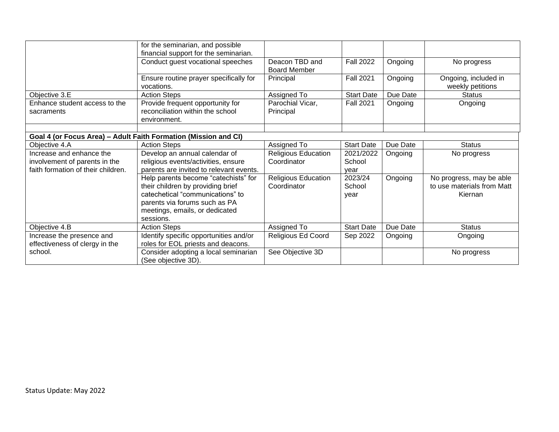|                                                                     | for the seminarian, and possible<br>financial support for the seminarian.                                                                                                                     |                                           |                           |          |                                                                   |
|---------------------------------------------------------------------|-----------------------------------------------------------------------------------------------------------------------------------------------------------------------------------------------|-------------------------------------------|---------------------------|----------|-------------------------------------------------------------------|
|                                                                     | Conduct guest vocational speeches                                                                                                                                                             | Deacon TBD and<br><b>Board Member</b>     | <b>Fall 2022</b>          | Ongoing  | No progress                                                       |
|                                                                     | Ensure routine prayer specifically for<br>vocations.                                                                                                                                          | Principal                                 | <b>Fall 2021</b>          | Ongoing  | Ongoing, included in<br>weekly petitions                          |
| Objective 3.E                                                       | <b>Action Steps</b>                                                                                                                                                                           | Assigned To                               | <b>Start Date</b>         | Due Date | <b>Status</b>                                                     |
| Enhance student access to the<br>sacraments                         | Provide frequent opportunity for<br>reconciliation within the school<br>environment.                                                                                                          | Parochial Vicar,<br>Principal             | <b>Fall 2021</b>          | Ongoing  | Ongoing                                                           |
|                                                                     | Goal 4 (or Focus Area) - Adult Faith Formation (Mission and CI)                                                                                                                               |                                           |                           |          |                                                                   |
| Objective 4.A                                                       | <b>Action Steps</b>                                                                                                                                                                           | Assigned To                               | <b>Start Date</b>         | Due Date | <b>Status</b>                                                     |
| Increase and enhance the                                            | Develop an annual calendar of                                                                                                                                                                 | <b>Religious Education</b>                | 2021/2022                 | Ongoing  | No progress                                                       |
| involvement of parents in the<br>faith formation of their children. | religious events/activities, ensure<br>parents are invited to relevant events.                                                                                                                | Coordinator                               | School<br>year            |          |                                                                   |
|                                                                     | Help parents become "catechists" for<br>their children by providing brief<br>catechetical "communications" to<br>parents via forums such as PA<br>meetings, emails, or dedicated<br>sessions. | <b>Religious Education</b><br>Coordinator | 2023/24<br>School<br>year | Ongoing  | No progress, may be able<br>to use materials from Matt<br>Kiernan |
| Objective 4.B                                                       | <b>Action Steps</b>                                                                                                                                                                           | Assigned To                               | <b>Start Date</b>         | Due Date | <b>Status</b>                                                     |
| Increase the presence and<br>effectiveness of clergy in the         | Identify specific opportunities and/or<br>roles for EOL priests and deacons.                                                                                                                  | Religious Ed Coord                        | Sep 2022                  | Ongoing  | Ongoing                                                           |
| school.                                                             | Consider adopting a local seminarian<br>(See objective 3D).                                                                                                                                   | See Objective 3D                          |                           |          | No progress                                                       |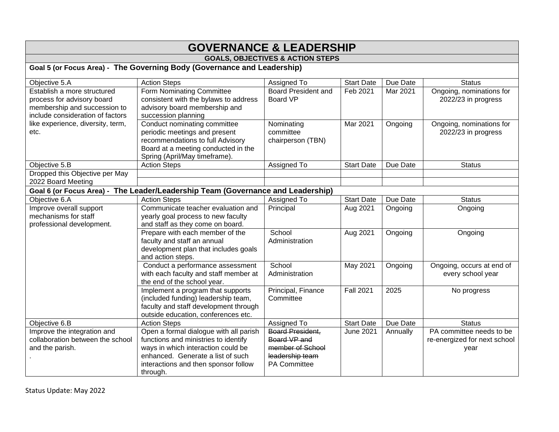## **GOVERNANCE & LEADERSHIP**

## **GOALS, OBJECTIVES & ACTION STEPS**

**Goal 5 (or Focus Area) - The Governing Body (Governance and Leadership)**

| Objective 5.A                     | <b>Action Steps</b>                                                             | Assigned To                | <b>Start Date</b> | Due Date | <b>Status</b>                |
|-----------------------------------|---------------------------------------------------------------------------------|----------------------------|-------------------|----------|------------------------------|
| Establish a more structured       | <b>Form Nominating Committee</b>                                                | <b>Board President and</b> | Feb 2021          | Mar 2021 | Ongoing, nominations for     |
| process for advisory board        | consistent with the bylaws to address                                           | <b>Board VP</b>            |                   |          | 2022/23 in progress          |
| membership and succession to      | advisory board membership and                                                   |                            |                   |          |                              |
| include consideration of factors  | succession planning                                                             |                            |                   |          |                              |
| like experience, diversity, term, | Conduct nominating committee                                                    | Nominating                 | Mar 2021          | Ongoing  | Ongoing, nominations for     |
| etc.                              | periodic meetings and present                                                   | committee                  |                   |          | 2022/23 in progress          |
|                                   | recommendations to full Advisory                                                | chairperson (TBN)          |                   |          |                              |
|                                   | Board at a meeting conducted in the                                             |                            |                   |          |                              |
|                                   | Spring (April/May timeframe).                                                   |                            |                   |          |                              |
| Objective 5.B                     | <b>Action Steps</b>                                                             | Assigned To                | <b>Start Date</b> | Due Date | <b>Status</b>                |
| Dropped this Objective per May    |                                                                                 |                            |                   |          |                              |
| 2022 Board Meeting                |                                                                                 |                            |                   |          |                              |
|                                   | Goal 6 (or Focus Area) - The Leader/Leadership Team (Governance and Leadership) |                            |                   |          |                              |
| Objective 6.A                     | <b>Action Steps</b>                                                             | Assigned To                | <b>Start Date</b> | Due Date | <b>Status</b>                |
| Improve overall support           | Communicate teacher evaluation and                                              | Principal                  | Aug 2021          | Ongoing  | Ongoing                      |
| mechanisms for staff              | yearly goal process to new faculty                                              |                            |                   |          |                              |
| professional development.         | and staff as they come on board.                                                |                            |                   |          |                              |
|                                   | Prepare with each member of the                                                 | School                     | Aug 2021          | Ongoing  | Ongoing                      |
|                                   | faculty and staff an annual                                                     | Administration             |                   |          |                              |
|                                   | development plan that includes goals                                            |                            |                   |          |                              |
|                                   | and action steps.                                                               |                            |                   |          |                              |
|                                   | Conduct a performance assessment                                                | School                     | <b>May 2021</b>   | Ongoing  | Ongoing, occurs at end of    |
|                                   | with each faculty and staff member at                                           | Administration             |                   |          | every school year            |
|                                   | the end of the school year.                                                     |                            |                   |          |                              |
|                                   | Implement a program that supports                                               | Principal, Finance         | <b>Fall 2021</b>  | 2025     | No progress                  |
|                                   | (included funding) leadership team,                                             | Committee                  |                   |          |                              |
|                                   | faculty and staff development through                                           |                            |                   |          |                              |
|                                   | outside education, conferences etc.                                             |                            |                   |          |                              |
| Objective 6.B                     | <b>Action Steps</b>                                                             | Assigned To                | <b>Start Date</b> | Due Date | <b>Status</b>                |
| Improve the integration and       | Open a formal dialogue with all parish                                          | <b>Board President,</b>    | <b>June 2021</b>  | Annually | PA committee needs to be     |
| collaboration between the school  | functions and ministries to identify                                            | Board VP and               |                   |          | re-energized for next school |
| and the parish.                   | ways in which interaction could be                                              | member of School           |                   |          | year                         |
|                                   | enhanced. Generate a list of such                                               | leadership team            |                   |          |                              |
|                                   | interactions and then sponsor follow                                            | <b>PA Committee</b>        |                   |          |                              |
|                                   | through.                                                                        |                            |                   |          |                              |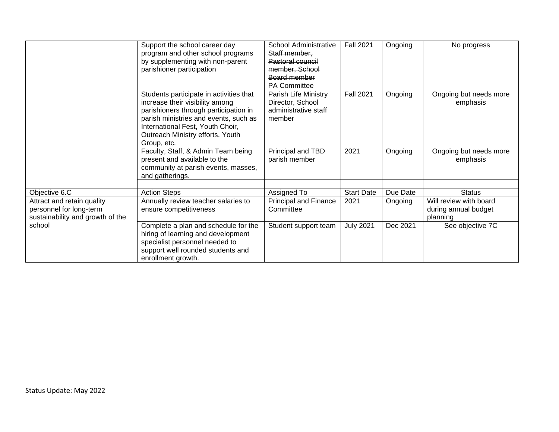|                                                                                           | Support the school career day<br>program and other school programs<br>by supplementing with non-parent<br>parishioner participation                                                                                                                 | <b>School Administrative</b><br>Staff member,<br>Pastoral council<br>member, School<br>Board member<br>PA Committee | <b>Fall 2021</b>  | Ongoing  | No progress                                                |
|-------------------------------------------------------------------------------------------|-----------------------------------------------------------------------------------------------------------------------------------------------------------------------------------------------------------------------------------------------------|---------------------------------------------------------------------------------------------------------------------|-------------------|----------|------------------------------------------------------------|
|                                                                                           | Students participate in activities that<br>increase their visibility among<br>parishioners through participation in<br>parish ministries and events, such as<br>International Fest, Youth Choir,<br>Outreach Ministry efforts, Youth<br>Group, etc. | Parish Life Ministry<br>Director, School<br>administrative staff<br>member                                          | <b>Fall 2021</b>  | Ongoing  | Ongoing but needs more<br>emphasis                         |
|                                                                                           | Faculty, Staff, & Admin Team being<br>present and available to the<br>community at parish events, masses,<br>and gatherings.                                                                                                                        | Principal and TBD<br>parish member                                                                                  | 2021              | Ongoing  | Ongoing but needs more<br>emphasis                         |
| Objective 6.C                                                                             | <b>Action Steps</b>                                                                                                                                                                                                                                 | Assigned To                                                                                                         | <b>Start Date</b> | Due Date | <b>Status</b>                                              |
| Attract and retain quality<br>personnel for long-term<br>sustainability and growth of the | Annually review teacher salaries to<br>ensure competitiveness                                                                                                                                                                                       | <b>Principal and Finance</b><br>Committee                                                                           | 2021              | Ongoing  | Will review with board<br>during annual budget<br>planning |
| school                                                                                    | Complete a plan and schedule for the<br>hiring of learning and development<br>specialist personnel needed to<br>support well rounded students and<br>enrollment growth.                                                                             | Student support team                                                                                                | <b>July 2021</b>  | Dec 2021 | See objective 7C                                           |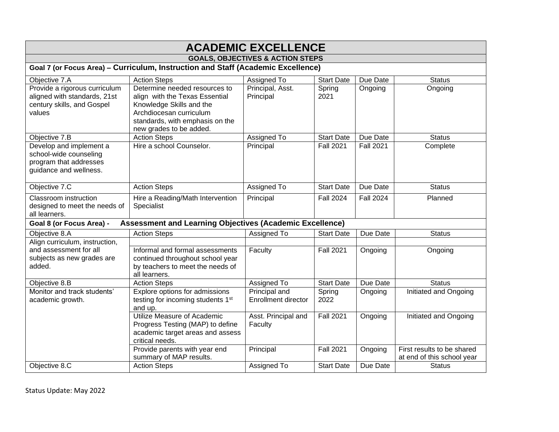| <b>ACADEMIC EXCELLENCE</b>                                                                            |                                                                                                                                                                                      |                                             |                   |                  |                                                          |
|-------------------------------------------------------------------------------------------------------|--------------------------------------------------------------------------------------------------------------------------------------------------------------------------------------|---------------------------------------------|-------------------|------------------|----------------------------------------------------------|
|                                                                                                       |                                                                                                                                                                                      | <b>GOALS, OBJECTIVES &amp; ACTION STEPS</b> |                   |                  |                                                          |
|                                                                                                       | Goal 7 (or Focus Area) - Curriculum, Instruction and Staff (Academic Excellence)                                                                                                     |                                             |                   |                  |                                                          |
| Objective 7.A                                                                                         | <b>Action Steps</b>                                                                                                                                                                  | Assigned To                                 | <b>Start Date</b> | Due Date         | <b>Status</b>                                            |
| Provide a rigorous curriculum<br>aligned with standards, 21st<br>century skills, and Gospel<br>values | Determine needed resources to<br>align with the Texas Essential<br>Knowledge Skills and the<br>Archdiocesan curriculum<br>standards, with emphasis on the<br>new grades to be added. | Principal, Asst.<br>Principal               | Spring<br>2021    | Ongoing          | Ongoing                                                  |
| Objective 7.B                                                                                         | <b>Action Steps</b>                                                                                                                                                                  | Assigned To                                 | <b>Start Date</b> | Due Date         | <b>Status</b>                                            |
| Develop and implement a<br>school-wide counseling<br>program that addresses<br>guidance and wellness. | Hire a school Counselor.                                                                                                                                                             | Principal                                   | <b>Fall 2021</b>  | <b>Fall 2021</b> | Complete                                                 |
| Objective 7.C                                                                                         | <b>Action Steps</b>                                                                                                                                                                  | Assigned To                                 | <b>Start Date</b> | Due Date         | <b>Status</b>                                            |
| Classroom instruction<br>designed to meet the needs of<br>all learners.                               | Hire a Reading/Math Intervention<br>Specialist                                                                                                                                       | Principal                                   | <b>Fall 2024</b>  | <b>Fall 2024</b> | Planned                                                  |
| Goal 8 (or Focus Area) -                                                                              | <b>Assessment and Learning Objectives (Academic Excellence)</b>                                                                                                                      |                                             |                   |                  |                                                          |
| Objective 8.A                                                                                         | <b>Action Steps</b>                                                                                                                                                                  | Assigned To                                 | <b>Start Date</b> | Due Date         | <b>Status</b>                                            |
| Align curriculum, instruction,                                                                        |                                                                                                                                                                                      |                                             |                   |                  |                                                          |
| and assessment for all<br>subjects as new grades are<br>added.                                        | Informal and formal assessments<br>continued throughout school year<br>by teachers to meet the needs of<br>all learners.                                                             | Faculty                                     | <b>Fall 2021</b>  | Ongoing          | Ongoing                                                  |
| Objective 8.B                                                                                         | <b>Action Steps</b>                                                                                                                                                                  | Assigned To                                 | <b>Start Date</b> | Due Date         | <b>Status</b>                                            |
| Monitor and track students'<br>academic growth.                                                       | Explore options for admissions<br>testing for incoming students 1 <sup>st</sup><br>and up.                                                                                           | Principal and<br><b>Enrollment director</b> | Spring<br>2022    | Ongoing          | Initiated and Ongoing                                    |
|                                                                                                       | Utilize Measure of Academic<br>Progress Testing (MAP) to define<br>academic target areas and assess<br>critical needs.                                                               | Asst. Principal and<br>Faculty              | <b>Fall 2021</b>  | Ongoing          | Initiated and Ongoing                                    |
|                                                                                                       | Provide parents with year end<br>summary of MAP results.                                                                                                                             | Principal                                   | <b>Fall 2021</b>  | Ongoing          | First results to be shared<br>at end of this school year |
| Objective 8.C                                                                                         | <b>Action Steps</b>                                                                                                                                                                  | Assigned To                                 | <b>Start Date</b> | Due Date         | <b>Status</b>                                            |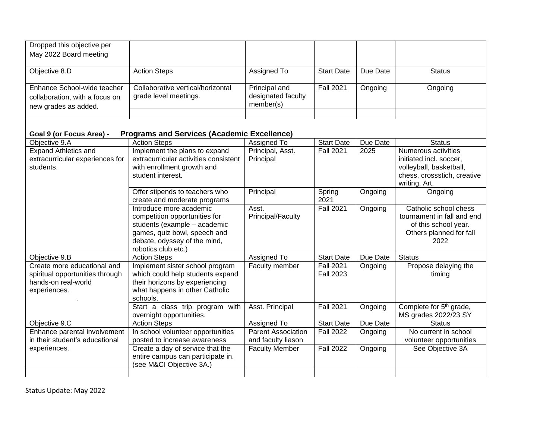| Dropped this objective per      |                                                              |                           |                   |          |                                                             |
|---------------------------------|--------------------------------------------------------------|---------------------------|-------------------|----------|-------------------------------------------------------------|
| May 2022 Board meeting          |                                                              |                           |                   |          |                                                             |
|                                 |                                                              |                           |                   |          |                                                             |
| Objective 8.D                   | <b>Action Steps</b>                                          | Assigned To               | <b>Start Date</b> | Due Date | <b>Status</b>                                               |
| Enhance School-wide teacher     | Collaborative vertical/horizontal                            | Principal and             | <b>Fall 2021</b>  | Ongoing  | Ongoing                                                     |
| collaboration, with a focus on  | grade level meetings.                                        | designated faculty        |                   |          |                                                             |
| new grades as added.            |                                                              | member(s)                 |                   |          |                                                             |
|                                 |                                                              |                           |                   |          |                                                             |
|                                 |                                                              |                           |                   |          |                                                             |
| Goal 9 (or Focus Area) -        | <b>Programs and Services (Academic Excellence)</b>           |                           |                   |          |                                                             |
| Objective 9.A                   | <b>Action Steps</b>                                          | Assigned To               | <b>Start Date</b> | Due Date | <b>Status</b>                                               |
| <b>Expand Athletics and</b>     | Implement the plans to expand                                | Principal, Asst.          | <b>Fall 2021</b>  | 2025     | Numerous activities                                         |
| extracurricular experiences for | extracurricular activities consistent                        | Principal                 |                   |          | initiated incl. soccer,                                     |
| students.                       | with enrollment growth and                                   |                           |                   |          | volleyball, basketball,                                     |
|                                 | student interest.                                            |                           |                   |          | chess, crossstich, creative                                 |
|                                 | Offer stipends to teachers who                               | Principal                 | Spring            | Ongoing  | writing, Art.<br>Ongoing                                    |
|                                 | create and moderate programs                                 |                           | 2021              |          |                                                             |
|                                 | Introduce more academic                                      | Asst.                     | <b>Fall 2021</b>  | Ongoing  | Catholic school chess                                       |
|                                 | competition opportunities for                                | Principal/Faculty         |                   |          | tournament in fall and end                                  |
|                                 | students (example - academic                                 |                           |                   |          | of this school year.                                        |
|                                 | games, quiz bowl, speech and<br>debate, odyssey of the mind, |                           |                   |          | Others planned for fall<br>2022                             |
|                                 | robotics club etc.)                                          |                           |                   |          |                                                             |
| Objective 9.B                   | <b>Action Steps</b>                                          | Assigned To               | <b>Start Date</b> | Due Date | <b>Status</b>                                               |
| Create more educational and     | Implement sister school program                              | Faculty member            | <b>Fall 2021</b>  | Ongoing  | Propose delaying the                                        |
| spiritual opportunities through | which could help students expand                             |                           | <b>Fall 2023</b>  |          | timing                                                      |
| hands-on real-world             | their horizons by experiencing                               |                           |                   |          |                                                             |
| experiences.                    | what happens in other Catholic                               |                           |                   |          |                                                             |
|                                 | schools.                                                     |                           |                   |          |                                                             |
|                                 | Start a class trip program with<br>overnight opportunities.  | Asst. Principal           | <b>Fall 2021</b>  | Ongoing  | Complete for 5 <sup>th</sup> grade,<br>MS grades 2022/23 SY |
| Objective 9.C                   | <b>Action Steps</b>                                          | Assigned To               | <b>Start Date</b> | Due Date | <b>Status</b>                                               |
| Enhance parental involvement    | In school volunteer opportunities                            | <b>Parent Association</b> | <b>Fall 2022</b>  | Ongoing  | No current in school                                        |
| in their student's educational  | posted to increase awareness                                 | and faculty liason        |                   |          | volunteer opportunities                                     |
| experiences.                    | Create a day of service that the                             | <b>Faculty Member</b>     | <b>Fall 2022</b>  | Ongoing  | See Objective 3A                                            |
|                                 | entire campus can participate in.                            |                           |                   |          |                                                             |
|                                 | (see M&CI Objective 3A.)                                     |                           |                   |          |                                                             |
|                                 |                                                              |                           |                   |          |                                                             |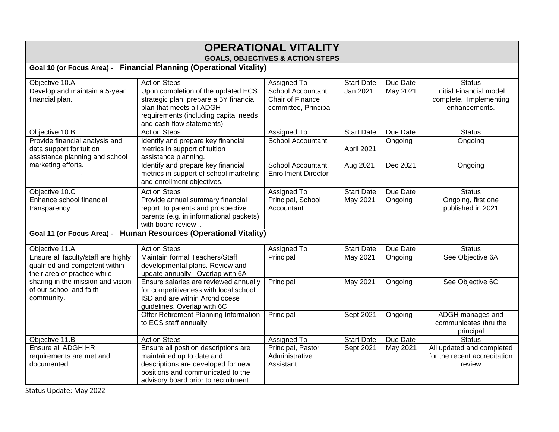## **OPERATIONAL VITALITY**

## **GOALS, OBJECTIVES & ACTION STEPS**

**Goal 10 (or Focus Area) - Financial Planning (Operational Vitality)**

| Objective 10.A                                                                                        | <b>Action Steps</b>                                                                                                                                                                  | Assigned To                                                    | <b>Start Date</b> | Due Date | <b>Status</b>                                                             |
|-------------------------------------------------------------------------------------------------------|--------------------------------------------------------------------------------------------------------------------------------------------------------------------------------------|----------------------------------------------------------------|-------------------|----------|---------------------------------------------------------------------------|
| Develop and maintain a 5-year<br>financial plan.                                                      | Upon completion of the updated ECS<br>strategic plan, prepare a 5Y financial<br>plan that meets all ADGH<br>requirements (including capital needs<br>and cash flow statements)       | School Accountant,<br>Chair of Finance<br>committee, Principal | Jan 2021          | May 2021 | <b>Initial Financial model</b><br>complete. Implementing<br>enhancements. |
| Objective 10.B                                                                                        | <b>Action Steps</b>                                                                                                                                                                  | Assigned To                                                    | <b>Start Date</b> | Due Date | <b>Status</b>                                                             |
| Provide financial analysis and<br>data support for tuition<br>assistance planning and school          | Identify and prepare key financial<br>metrics in support of tuition<br>assistance planning.                                                                                          | School Accountant                                              | April 2021        | Ongoing  | Ongoing                                                                   |
| marketing efforts.                                                                                    | Identify and prepare key financial<br>metrics in support of school marketing<br>and enrollment objectives.                                                                           | School Accountant,<br><b>Enrollment Director</b>               | Aug 2021          | Dec 2021 | Ongoing                                                                   |
| Objective 10.C                                                                                        | <b>Action Steps</b>                                                                                                                                                                  | Assigned To                                                    | <b>Start Date</b> | Due Date | <b>Status</b>                                                             |
| Enhance school financial<br>transparency.                                                             | Provide annual summary financial<br>report to parents and prospective<br>parents (e.g. in informational packets)<br>with board review                                                | Principal, School<br>Accountant                                | May 2021          | Ongoing  | Ongoing, first one<br>published in 2021                                   |
|                                                                                                       | Goal 11 (or Focus Area) - Human Resources (Operational Vitality)                                                                                                                     |                                                                |                   |          |                                                                           |
| Objective 11.A                                                                                        | <b>Action Steps</b>                                                                                                                                                                  | Assigned To                                                    | <b>Start Date</b> | Due Date | <b>Status</b>                                                             |
| Ensure all faculty/staff are highly<br>qualified and competent within<br>their area of practice while | Maintain formal Teachers/Staff<br>developmental plans. Review and<br>update annually. Overlap with 6A                                                                                | Principal                                                      | May 2021          | Ongoing  | See Objective 6A                                                          |
| sharing in the mission and vision<br>of our school and faith<br>community.                            | Ensure salaries are reviewed annually<br>for competitiveness with local school<br>ISD and are within Archdiocese<br>guidelines. Overlap with 6C                                      | Principal                                                      | <b>May 2021</b>   | Ongoing  | See Objective 6C                                                          |
|                                                                                                       | Offer Retirement Planning Information<br>to ECS staff annually.                                                                                                                      | Principal                                                      | <b>Sept 2021</b>  | Ongoing  | ADGH manages and<br>communicates thru the<br>principal                    |
| Objective 11.B                                                                                        | <b>Action Steps</b>                                                                                                                                                                  | Assigned To                                                    | <b>Start Date</b> | Due Date | <b>Status</b>                                                             |
| Ensure all ADGH HR<br>requirements are met and<br>documented.                                         | Ensure all position descriptions are<br>maintained up to date and<br>descriptions are developed for new<br>positions and communicated to the<br>advisory board prior to recruitment. | Principal, Pastor<br>Administrative<br>Assistant               | Sept 2021         | May 2021 | All updated and completed<br>for the recent accreditation<br>review       |

Status Update: May 2022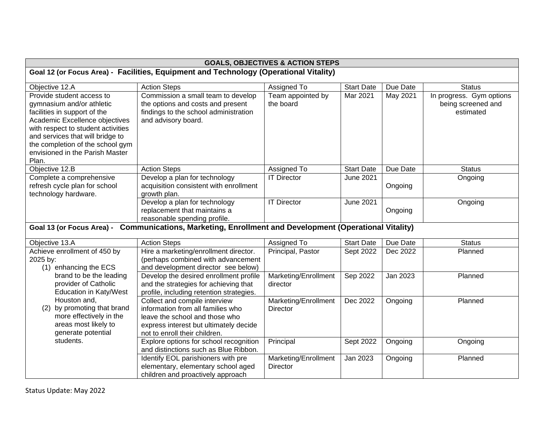| <b>GOALS, OBJECTIVES &amp; ACTION STEPS</b>                                           |                                                                                                        |                      |                   |          |                          |  |
|---------------------------------------------------------------------------------------|--------------------------------------------------------------------------------------------------------|----------------------|-------------------|----------|--------------------------|--|
| Goal 12 (or Focus Area) - Facilities, Equipment and Technology (Operational Vitality) |                                                                                                        |                      |                   |          |                          |  |
| Objective 12.A                                                                        | <b>Action Steps</b>                                                                                    | Assigned To          | <b>Start Date</b> | Due Date | <b>Status</b>            |  |
| Provide student access to                                                             | Commission a small team to develop                                                                     | Team appointed by    | Mar 2021          | May 2021 | In progress. Gym options |  |
| gymnasium and/or athletic                                                             | the options and costs and present                                                                      | the board            |                   |          | being screened and       |  |
| facilities in support of the                                                          | findings to the school administration                                                                  |                      |                   |          | estimated                |  |
| Academic Excellence objectives                                                        | and advisory board.                                                                                    |                      |                   |          |                          |  |
| with respect to student activities                                                    |                                                                                                        |                      |                   |          |                          |  |
| and services that will bridge to                                                      |                                                                                                        |                      |                   |          |                          |  |
| the completion of the school gym<br>envisioned in the Parish Master                   |                                                                                                        |                      |                   |          |                          |  |
| Plan.                                                                                 |                                                                                                        |                      |                   |          |                          |  |
| Objective 12.B                                                                        | <b>Action Steps</b>                                                                                    | Assigned To          | <b>Start Date</b> | Due Date | <b>Status</b>            |  |
| Complete a comprehensive                                                              | Develop a plan for technology                                                                          | <b>IT Director</b>   | June 2021         |          | Ongoing                  |  |
| refresh cycle plan for school                                                         | acquisition consistent with enrollment                                                                 |                      |                   | Ongoing  |                          |  |
| technology hardware.                                                                  | growth plan.                                                                                           |                      |                   |          |                          |  |
|                                                                                       | Develop a plan for technology                                                                          | <b>IT Director</b>   | <b>June 2021</b>  |          | Ongoing                  |  |
|                                                                                       | replacement that maintains a                                                                           |                      |                   | Ongoing  |                          |  |
|                                                                                       | reasonable spending profile.                                                                           |                      |                   |          |                          |  |
|                                                                                       | Goal 13 (or Focus Area) - Communications, Marketing, Enrollment and Development (Operational Vitality) |                      |                   |          |                          |  |
| Objective 13.A                                                                        | <b>Action Steps</b>                                                                                    | Assigned To          | <b>Start Date</b> | Due Date | <b>Status</b>            |  |
| Achieve enrollment of 450 by                                                          | Hire a marketing/enrollment director.                                                                  | Principal, Pastor    | Sept 2022         | Dec 2022 | Planned                  |  |
| 2025 by:                                                                              | (perhaps combined with advancement                                                                     |                      |                   |          |                          |  |
| (1) enhancing the ECS                                                                 | and development director see below)                                                                    |                      |                   |          |                          |  |
| brand to be the leading                                                               | Develop the desired enrollment profile                                                                 | Marketing/Enrollment | Sep 2022          | Jan 2023 | Planned                  |  |
| provider of Catholic<br><b>Education in Katy/West</b>                                 | and the strategies for achieving that<br>profile, including retention strategies.                      | director             |                   |          |                          |  |
| Houston and,                                                                          | Collect and compile interview                                                                          | Marketing/Enrollment | Dec 2022          | Ongoing  | Planned                  |  |
| by promoting that brand<br>(2)                                                        | information from all families who                                                                      | <b>Director</b>      |                   |          |                          |  |
| more effectively in the                                                               | leave the school and those who                                                                         |                      |                   |          |                          |  |
| areas most likely to                                                                  | express interest but ultimately decide                                                                 |                      |                   |          |                          |  |
| generate potential                                                                    | not to enroll their children.                                                                          |                      |                   |          |                          |  |
| students.                                                                             | Explore options for school recognition                                                                 | Principal            | Sept 2022         | Ongoing  | Ongoing                  |  |
|                                                                                       | and distinctions such as Blue Ribbon.                                                                  |                      |                   |          |                          |  |
|                                                                                       | Identify EOL parishioners with pre                                                                     | Marketing/Enrollment | Jan 2023          | Ongoing  | Planned                  |  |
|                                                                                       | elementary, elementary school aged                                                                     | <b>Director</b>      |                   |          |                          |  |
|                                                                                       | children and proactively approach                                                                      |                      |                   |          |                          |  |

Status Update: May 2022